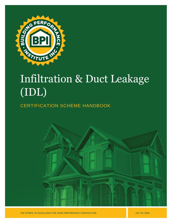

# Infiltration & Duct Leakage (IDL)

# CERTIFICATION SCHEME HANDBOOK



THE SYMBOL OF EXCELLENCE FOR HOME PERFORMANCE CONTRACTORS

**JULY 01, 2022**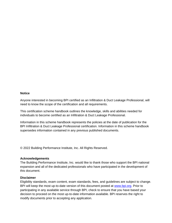#### **Notice**

Anyone interested in becoming BPI certified as an Infiltration & Duct Leakage Professional, will need to know the scope of the certification and all requirements.

This certification scheme handbook outlines the knowledge, skills and abilities needed for individuals to become certified as an Infiltration & Duct Leakage Professional.

Information in this scheme handbook represents the policies at the date of publication for the BPI Infiltration & Duct Leakage Professional certification. Information in this scheme handbook supersedes information contained in any previous published documents.

© 2022 Building Performance Institute, Inc. All Rights Reserved.

#### **Acknowledgements**

The Building Performance Institute, Inc. would like to thank those who support the BPI national expansion and all of the dedicated professionals who have participated in the development of this document.

#### **Disclaimer**

Eligibility standards, exam content, exam standards, fees, and guidelines are subject to change. BPI will keep the most up-to-date version of this document posted at [www.bpi.org.](http://www.bpi.org/) Prior to participating in any available service through BPI, check to ensure that you have based your decision to proceed on the most up-to-date information available. BPI reserves the right to modify documents prior to accepting any application.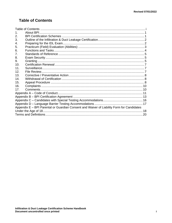# <span id="page-2-0"></span>**Table of Contents**

| 1.                                                                                        |  |  |  |
|-------------------------------------------------------------------------------------------|--|--|--|
| 2.                                                                                        |  |  |  |
| 3.                                                                                        |  |  |  |
| 4.                                                                                        |  |  |  |
| 5.                                                                                        |  |  |  |
| 6.                                                                                        |  |  |  |
| 7.                                                                                        |  |  |  |
| 8.                                                                                        |  |  |  |
| 9.                                                                                        |  |  |  |
| 10 <sub>1</sub>                                                                           |  |  |  |
| 11 <sub>1</sub>                                                                           |  |  |  |
| 12.                                                                                       |  |  |  |
| 13.                                                                                       |  |  |  |
| 14.                                                                                       |  |  |  |
| 15.                                                                                       |  |  |  |
| 16.                                                                                       |  |  |  |
| 17.                                                                                       |  |  |  |
|                                                                                           |  |  |  |
|                                                                                           |  |  |  |
|                                                                                           |  |  |  |
|                                                                                           |  |  |  |
| Appendix E - BPI Parental or Guardian Consent and Waiver of Liability Form for Candidates |  |  |  |
|                                                                                           |  |  |  |
|                                                                                           |  |  |  |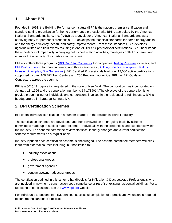## <span id="page-3-0"></span>**1. About BPI**

Founded in 1993, the Building Performance Institute (BPI) is the nation's premier certification and standard-setting organization for home performance professionals. BPI is accredited by the American National Standards Institute, Inc. (ANSI) as a developer of American National Standards and as a certifying body for personnel credentials. BPI develops the technical standards for home energy audits and for energy efficiency, health, and safety improvements. From these standards, BPI develops rigorous written and field exams resulting in one of BPI's 14 professional certifications. BPI understands the importance of impartiality in carrying out its certification activities, manages conflict of interest and ensures the objectivity of its certification activities.

BPI also offers three programs [\(BPI GoldStar](http://www.bpi.org/bpi-goldstar-contractors) Contractor for companies, [Rating Program](http://www.bpi.org/bpi-raters) for raters, and [BPI](http://www.bpi.org/product-listing) [Product](http://www.bpi.org/product-listing) Listing for manufacturers) and three certificates (Building [Science Principles,](http://www.bpi.org/building-science-principles) [Healthy](http://www.bpi.org/healthy-housing-principles)  [Housing Principles,](http://www.bpi.org/healthy-housing-principles) [Site Supervisor\)](http://www.bpi.org/sitesupervisorcertificate). BPI Certified Professionals hold over 12,000 active certifications supported by over 100 BPI Test Centers and 250 Proctors nationwide. BPI has BPI Goldstar Contractors across the country.

BPI is a 501(c)3 corporation registered in the state of New York. The corporation was incorporated on January 18, 1996 and the corporation number is 14-1789014.The objective of the corporation is to provide credentialing for individuals and corporations involved in the residential retrofit industry. BPI is headquartered in Saratoga Springs, NY.

## <span id="page-3-1"></span>**2. BPI Certification Schemes**

BPI offers individual certification in a number of areas in the residential retrofit industry.

The certification schemes are developed and then reviewed on an on-going basis by scheme committees made up of subject matter experts – individuals with the credentials and experience within the industry. The scheme committee review statistics, industry changes and current certification scheme requirements on a regular basis.

Industry input on each certification scheme is encouraged. The scheme committee members will seek input from external sources including, but not limited to:

- industry associations
- professional groups
- government agencies
- consumer/owner advocacy groups

The certification outlined in this scheme handbook is for Infiltration & Duct Leakage Professionals who are involved in new home construction code compliance or retrofit of existing residential buildings. For a full listing of certifications, see the [www.bpi.org](http://www.bpi.org/) website.

For individuals to become BPI IDL certified, successful completion of a practicum evaluation is required to confirm the candidate's abilities.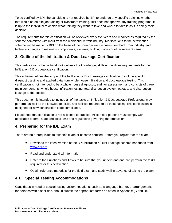To be certified by BPI, the candidate is not required by BPI to undergo any specific training, whether that would be on-site job training or classroom training. BPI does not approve any training programs. It is up to the individual to decide what training they want to take and where to take it, as it is solely their decision.

The requirements for this certification will be reviewed every five years and modified as required by the scheme committee with input from the residential retrofit industry. Modifications to the certification scheme will be made by BPI on the basis of the non-compliance cases, feedback from industry and technical changes to materials, components, systems, building codes or other relevant items.

#### <span id="page-4-0"></span>**3. Outline of the Infiltration & Duct Leakage Certification**

This certification scheme handbook outlines the knowledge, skills and abilities requirements for the Infiltration & Duct Leakage certification.

This scheme defines the scope of the Infiltration & Duct Leakage certification to include specific diagnostic testing and applied data from whole house infiltration and duct leakage testing. This certification is not intended to be a whole house diagnostic, audit or assessment and consists of three main components: whole house infiltration testing, total distribution system leakage, and distribution leakage to the outside.

This document is intended to include all of the tasks an Infiltration & Duct Leakage Professional may perform, as well as the knowledge, skills, and abilities required to do these tasks. This certification is designed for new construction code compliance.

Please note that certification is not a license to practice. All certified persons must comply with applicable federal, state and local laws and regulations governing the profession.

## <span id="page-4-1"></span>**4. Preparing for the IDL Exam**

There are no prerequisites to take this exam or become certified. Before you register for the exam:

- Download the latest version of the BPI Infiltration & Duct Leakage scheme handbook from [www.bpi.org](http://www.bpi.org/)
- Read and understand all information
- Refer to the Functions and Tasks to be sure that you understand and can perform the tasks required for this certification
- Obtain reference materials for the field exam and study well in advance of taking the exam

## **4.1 Special Testing Accommodations**

Candidates in need of special testing accommodations, such as a language barrier, or arrangements for persons with disabilities, should submit the appropriate forms as noted in Appendix (C and D).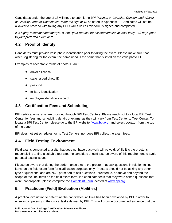Candidates under the age of 18 will need to submit the *BPI Parental or Guardian Consent and Wavier of Liaibility Form for Candidates Under the Age of 18* as noted in Appendix E. Candidates will not be allowed to proceed with taking any BPI exams unless this form is signed and completed.

*It is highly recommended that you submit your request for accommodation at least thirty (30) days prior to your preferred exam date.*

## **4.2 Proof of Identity**

Candidates must provide valid photo identification prior to taking the exam. Please make sure that when registering for the exam, the name used is the same that is listed on the valid photo ID.

Examples of acceptable forms of photo ID are:

- driver's license
- state issued photo ID
- passport
- military identification
- employee identification card

#### **4.3 Certification Fees and Scheduling**

BPI certification exams are provided through BPI Test Centers. Please reach out to a local BPI Test Center for fees and scheduling details of exams, as they will vary from Test Center to Test Center. To locate a BPI Test Center, please go to the BPI website [\(www.bpi.org\)](http://www.bpi.org/) and select **Locator** from the top of the page.

BPI does not set schedules for its Test Centers, nor does BPI collect the exam fees.

## **4.4 Field Testing Environment**

Field exams conducted at a site that does not have duct work will be void. While it is the proctor's responsibility to find a suitable test site, the candidate should also be aware of this requirement to avoid potential testing issues.

Please be aware that during the performance exam, the proctor may ask questions in relation to line items on the field exam form for clarification purposes only. Proctors should not be asking any other type of questions, and are NOT permitted to ask questions unrelated to, or above and beyond the scope of the line items on the field exam form. If a candidate feels that they were asked questions that were inappropriate, please complete the [Complaint Form](http://www.bpi.org/about-us/contact-us) located at [www.bpi.org.](http://www.bpi.org/)

# <span id="page-5-0"></span>**5. Practicum (Field) Evaluation (Abilities)**

A practical evaluation to determine the candidates' abilities has been developed by BPI in order to ensure competency in the critical tasks defined by BPI. This will provide documented evidence that the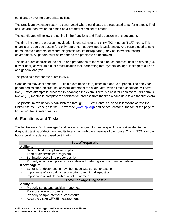candidates have the appropriate abilities.

The practicum evaluation exam is constructed where candidates are requested to perform a task. Their abilities are then evaluated based on a predetermined set of criteria.

The candidates will follow the outline in the Functions and Tasks section in this document.

The time limit for the practicum evaluation is one (1) hour and thirty (30) minutes (1 1/2) hours. This exam is an open-book exam (the only reference not permitted is assistance). Any papers used to take notes, create diagrams, or record diagnostic results (scrap paper) may not leave the testing environment. All papers must be handed to the proctor to be destroyed.

The field exam consists of the set up and preparation of the whole house depressurization device (e.g. blower door) as well as a duct pressurization test, performing total system leakage, leakage to outside and general analysis.

The passing score for the exam is 85%.

Candidates may challenge the IDL field exam up to six (6) times in a one-year period. The one-year period begins after the first unsuccessful attempt of the exam, after which time a candidate will have five (5) more attempts to successfully challenge the exam. There is a cost for each exam. BPI permits twelve (12) months to complete the certification process from the time a candidate takes the first exam.

The practicum evaluation is administered through BPI Test Centers at various locations across the United States. Please go to the BPI website [\(www.bpi.org\)](http://www.bpi.org/) and select Locator at the top of the page to find a BPI Test Center near you.

#### <span id="page-6-0"></span>**6. Functions and Tasks**

The Infiltration & Duct Leakage Certification is designed to meet a specific skill set related to the diagnostic testing of duct work and its interaction with the envelope of the house. This is NOT a whole house building science-based certification.

| <b>Setup/Preparation</b>        |                                                                                    |  |
|---------------------------------|------------------------------------------------------------------------------------|--|
| <b>Ability to:</b>              |                                                                                    |  |
|                                 | Set combustion appliances to pilot                                                 |  |
|                                 | Tape or otherwise seal registers                                                   |  |
| $\bullet$                       | Set interior doors into proper position                                            |  |
|                                 | Properly attach duct pressurization device to return grille or air handler cabinet |  |
| Knowledge of:                   |                                                                                    |  |
|                                 | Benefits for documenting how the house was set up for testing                      |  |
|                                 | Importance of a visual inspection prior to running diagnostics                     |  |
|                                 | Importance of in-field calibration of manometer                                    |  |
| <b>Total Leakage Diagnostic</b> |                                                                                    |  |
| <b>Ability to:</b>              |                                                                                    |  |
|                                 | Properly set up and position manometer                                             |  |
| $\bullet$                       | Pressure relieve duct zone                                                         |  |
|                                 | Properly sample internal duct pressure                                             |  |
|                                 | Accurately take CFM25 measurement                                                  |  |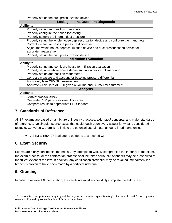|                                           | Properly set up the duct pressurization device                                      |  |
|-------------------------------------------|-------------------------------------------------------------------------------------|--|
| <b>Leakage to the Outdoors Diagnostic</b> |                                                                                     |  |
| <b>Ability to:</b>                        |                                                                                     |  |
| $\bullet$                                 | Properly set up and position manometer                                              |  |
| $\bullet$                                 | Properly configure the house for testing                                            |  |
| $\bullet$                                 | Properly sample the internal duct pressure                                          |  |
| $\bullet$                                 | Properly set up the whole house depressurization device and configure the manometer |  |
| $\bullet$                                 | Correctly measure baseline pressure differential                                    |  |
| $\bullet$                                 | Adjust the whole house depressurization device and duct pressurization device for   |  |
|                                           | accurate measurement                                                                |  |
| $\bullet$                                 | Properly set up the duct pressurization device                                      |  |
|                                           | <b>Infiltration Evaluation</b>                                                      |  |
| <b>Ability to:</b>                        |                                                                                     |  |
| $\bullet$                                 | Properly set up and configure house for infiltration evaluation                     |  |
| $\bullet$                                 | Properly set up a whole house depressurization device (blower door)                 |  |
| $\bullet$                                 | Properly set up and position manometer                                              |  |
| $\bullet$                                 | Correctly measure and account for baseline pressure differential                    |  |
| $\bullet$                                 | Accurately take CFM50 measurement                                                   |  |
| $\bullet$                                 | Accurately calculate ACH50 given a volume and CFM50 measurement                     |  |
|                                           | <b>Analysis</b>                                                                     |  |
| <b>Ability to:</b>                        |                                                                                     |  |
| $\bullet$                                 | Identify leakage areas                                                              |  |
| $\bullet$                                 | Calculate CFM per conditioned floor area                                            |  |
|                                           | Compare results to appropriate BPI Standard                                         |  |
|                                           |                                                                                     |  |

#### <span id="page-7-0"></span>**7. Standards of Reference**

All BPI exams are based on a mixture of industry practices, axiomatic**<sup>1</sup>** concepts, and major standards of references. No singular source exists that could touch upon every aspect for what is considered testable. Conversely, there is no limit to the potential useful material found in print and online.

• ASTM E 1554-07 (leakage to outdoors test method C)

## <span id="page-7-1"></span>**8. Exam Security**

Exams are highly confidential materials. Any attempts to willfully compromise the integrity of the exam, the exam process, or the certification process shall be taken seriously; offenders may be prosecuted to the fullest extent of the law. In addition, any certification credential may be revoked immediately if a breach is proven to have been made by a certified individual.

# <span id="page-7-2"></span>**9. Granting**

In order to receive IDL certification, the candidate must successfully complete the field exam.

<sup>&</sup>lt;sup>1</sup> An axiomatic concept is something implicit that requires no proof or explanation (e.g. – the sum of 2 and 2 is 4, or gravity states that if you drop something, it will fall to a lower level).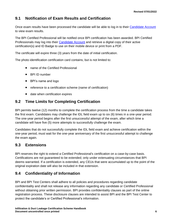# **9.1 Notification of Exam Results and Certification**

Once exam results have been processed the candidate will be able to log in to their [Candidate Account](http://www.bpi.org/login) to view exam results.

The BPI Certified Professional will be notified once BPI certification has been awarded. BPI Certified Professionals may log into their [Candidate Account](https://spero.bpi.org/) and retrieve a digital copy of their active certification(s) and ID Badge to use on their mobile device or print from a PDF.

The certificate will expire three (3) years from the date of initial certification.

The photo identification certification card contains, but is not limited to:

- name of the Certified Professional
- BPI ID number
- BPI's name and logo
- reference to a certification scheme (name of certification)
- date when certification expires

## **9.2 Time Limits for Completing Certification**

BPI permits twelve (12) months to complete the certification process from the time a candidate takes the first exam. Candidates may challenge the IDL field exam up to six (6) times in a one-year period. The one-year period begins after the first unsuccessful attempt of the exam, after which time a candidate will have five (5) more attempts to successfully challenge the exam.

Candidates that do not successfully complete the IDL field exam and achieve certification within the one-year period, must wait for the one-year anniversary of the first unsuccessful attempt to challenge the exam again.

#### **9.3 Extensions**

BPI reserves the right to extend a Certified Professional's certification on a case-by-case basis. Certifications are not guaranteed to be extended; only under extenuating circumstances that BPI deems warranted. If a certification is extended, any CEUs that were accumulated up to the point of the original expiration date will also be included in that extension.

## **9.4 Confidentiality of Information**

BPI and BPI Test Centers shall adhere to all policies and procedures regarding candidate confidentiality and shall not release any information regarding any candidate or Certified Professional without obtaining prior written permission. BPI provides confidentiality clauses as part of the online registration process. These disclosure clauses are intended to assist BPI and the BPI Test Center to protect the candidate's or Certified Professional's information.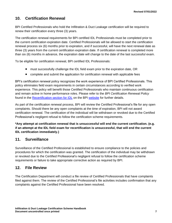## <span id="page-9-0"></span>**10. Certification Renewal**

BPI Certified Professionals who hold the Infiltration & Duct Leakage certification will be required to renew their certification every three (3) years.

The certification renewal requirements for BPI certified IDL Professionals must be completed prior to the current certification expiration date. Certified Professionals will be allowed to start the certification renewal process six (6) months prior to expiration, and if successful, will have the next renewal date as three (3) years from the current certification expiration date. If certification renewal is completed more than six (6) months in advance, the expiration date will change to the date of the last successful exam.

To be eligible for certification renewal, BPI certified IDL Professionals:

- must successfully challenge the IDL field exam prior to the expiration date, OR
- complete and submit the application for certification renewal with applicable fees

BPI's certification renewal policy recognizes the work experience of BPI Certified Professionals. This policy eliminates field exam requirements in certain circumstances according to verified work experience. This policy will benefit those Certified Professionals who maintain continuous certification and remain active in home performance roles. Please refer to the *BPI Certification Renewal Policy* found in the [Recertification section](http://www.bpi.org/certified-professionals/infiltration-duct-leakage#anchor-two) for IDL on the BPI [website](http://www.bpi.org/certified-professionals/infiltration-duct-leakage#anchor-two) for further details.

As part of the certification renewal process, BPI will review the Certified Professional's file for any open complaints. Should there be any open complaints at the time of expiration, BPI will not award certification renewal. The certification of the individual will be withdrawn or revoked due to the Certified Professional's negligent refusal to follow the certification scheme requirements.

**\*Any attempt at certification renewal that is unsuccessful will end the current certification. (e.g. if an attempt at the IDL field exam for recertification is unsuccessful, that will end the current IDL certification immediately.)**

#### <span id="page-9-1"></span>**11. Surveillance**

Surveillance of the Certified Professional is established to ensure compliance to the policies and procedures for which the certification was granted. The certification of the individual may be withdrawn or revoked due to the Certified Professional's negligent refusal to follow the certification scheme requirements or failure to take appropriate corrective action as required by BPI.

#### <span id="page-9-2"></span>**12. File Review**

The Certification Department will conduct a file review of Certified Professionals that have complaints filed against them. The review of the Certified Professional's file activities includes confirmation that any complaints against the Certified Professional have been resolved.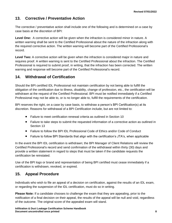## <span id="page-10-0"></span>**13. Corrective / Preventative Action**

The corrective / preventative action shall include one of the following and is determined on a case by case basis at the discretion of BPI:

**Level One:** A corrective action will be given when the infraction is considered minor in nature. A written warning shall be sent to the Certified Professional about the nature of the infraction along with the required corrective action. The written warning will become part of the Certified Professional's record.

**Level Two:** A corrective action will be given when the infraction is considered major in nature and requires proof. A written warning is sent to the Certified Professional about the infraction. The Certified Professional is required to submit proof, in writing, that the infraction has been corrected. The written warning and response will become part of the Certified Professional's record.

#### <span id="page-10-1"></span>**14. Withdrawal of Certification**

Should the BPI certified IDL Professional not maintain certification by not being able to fulfill the obligation of the certification due to illness, disability, change of profession, etc., the certification will be withdrawn at the request of the Certified Professional. BPI must be notified immediately if a Certified Professional may not be able to, or is no longer able to, fulfill the requirements of the certification.

BPI reserves the right, on a case by case basis, to withdraw a person's BPI Certification(s) at its discretion. Reasons for withdrawal of a BPI Certification include, but are not limited to:

- Failure to meet certification renewal criteria as outlined in Section 10
- Failure to take steps to submit the requested information of a corrective action as outlined in Section 13
- Failure to follow the BPI IDL Professional Code of Ethics and/or Code of Conduct
- Failure to follow BPI Standards that align with the certification's JTA's, when applicable

In the event the BPI IDL certification is withdrawn; the BPI Manager of Client Relations will review the Certified Professional's record and send confirmation of the withdrawal within thirty (30) days and provide a written statement in regard to steps that must be taken if the candidate requests the certification be reinstated.

Use of the BPI logo or brand and representation of being BPI certified must cease immediately if a certification is withdrawn, revoked, or expired.

## <span id="page-10-2"></span>**15. Appeal Procedure**

Individuals who wish to file an appeal of a decision on certification, against the results of an IDL exam, or regarding the suspension of the IDL certification, must do so in writing.

**Please Note:** If a candidate chooses to challenge the exam that they are appealing, prior to the notification of a final decision on their appeal, the results of the appeal will be null and void, regardless of the outcome. The original score of the appealed exam will stand.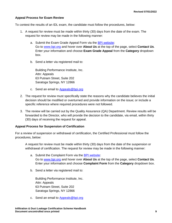#### **Appeal Process for Exam Review**

To contest the results of an IDL exam, the candidate must follow the procedures, below:

- 1. A request for review must be made within thirty (30) days from the date of the exam. The request for review may be made in the following manner:
	- a. Submit the Exam Grade Appeal Form via the [BPI website:](http://www.bpi.org/about-us/contact-us) Go to [www.bpi.org](http://www.bpi.org/) and hover over **About Us** at the top of the page, select **Contact Us**. Enter your information and choose **Exam Grade Appeal** from the **Category** dropdown box.
	- b. Send a letter via registered mail to:

Building Performance Institute, Inc. Attn: Appeals 63 Putnam Street, Suite 202 Saratoga Springs, NY 12866

- c. Send an email to [Appeals@bpi.org](mailto:Appeals@bpi.org)
- 2. The request for review must specifically state the reasons why the candidate believes the initial decision should be modified or overturned and provide information on the issue; or include a specific reference where required procedures were not followed.
- 3. The review will be carried out by the Quality Assurance (QA) Department. Review results will be forwarded to the Director, who will provide the decision to the candidate, via email, within thirty (30) days of receiving the request for appeal.

#### **Appeal Process for Suspension of Certification**

For a review of suspension or withdrawal of certification, the Certified Professional must follow the procedures, below:

A request for review must be made within thirty (30) days from the date of the suspension or withdrawal of certification. The request for review may be made in the following manner:

- a. Submit the Complaint Form via the [BPI website:](http://www.bpi.org/about-us/contact-us) Go to [www.bpi.org](http://www.bpi.org/) and hover over **About Us** at the top of the page, select **Contact Us**. Enter your information and choose **Complaint Form** from the **Category** dropdown box.
- b. Send a letter via registered mail to:

Building Performance Institute, Inc. Attn: Appeals 63 Putnam Street, Suite 202 Saratoga Springs, NY 12866

c. Send an email to **Appeals@bpi.org**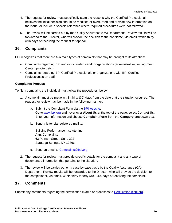- 4. The request for review must specifically state the reasons why the Certified Professional believes the initial decision should be modified or overturned and provide new information on the issue; or include a specific reference where required procedures were not followed.
- 5. The review will be carried out by the Quality Assurance (QA) Department. Review results will be forwarded to the Director, who will provide the decision to the candidate, via email, within thirty (30) days of receiving the request for appeal.

#### <span id="page-12-0"></span>**16. Complaints**

BPI recognizes that there are two main types of complaints that may be brought to its attention:

- Complaints regarding BPI and/or its related vendor organizations (administrative, testing, Test Center, proctor, etc.)
- Complaints regarding BPI Certified Professionals or organizations with BPI Certified Professionals on staff

#### **Complaints Process**

To file a complaint, the individual must follow the procedures, below:

- 1. A complaint must be made within thirty (30) days from the date that the situation occurred. The request for review may be made in the following manner:
	- a. Submit the Complaint Form via the [BPI website:](http://www.bpi.org/about-us/contact-us) Go to [www.bpi.org](http://www.bpi.org/) and hover over **About Us** at the top of the page, select **Contact Us**. Enter your information and choose **Complaint Form** from the **Category** dropdown box.
	- b. Send a letter via registered mail to:

Building Performance Institute, Inc. Attn: Complaints 63 Putnam Street, Suite 202 Saratoga Springs, NY 12866

- c. Send an email to [Complaints@bpi.org](mailto:Complaints@bpi.org)
- 2. The request for review must provide specific details for the complaint and any type of documented information that pertains to the situation.
- 3. The review will be carried out on a case by case basis by the Quality Assurance (QA) Department. Review results will be forwarded to the Director, who will provide the decision to the complainant, via email, within thirty to forty  $(30 - 40)$  days of receiving the complaint.

#### <span id="page-12-1"></span>**17. Comments**

Submit any comments regarding the certification exams or processes to [Certification@bpi.org.](mailto:Certification@bpi.org)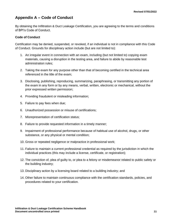# <span id="page-13-0"></span>**Appendix A – Code of Conduct**

By obtaining the Infiltration & Duct Leakage Certification, you are agreeing to the terms and conditions of BPI's Code of Conduct.

#### **Code of Conduct**

Certification may be denied, suspended, or revoked, if an individual is not in compliance with this Code of Conduct. Grounds for disciplinary action include (but are not limited to):

- 1. An irregular event in connection with an exam, including (but not limited to) copying exam materials, causing a disruption in the testing area, and failure to abide by reasonable test administration rules;
- 2. Taking the exam for any purpose other than that of becoming certified in the technical area referenced in the title of the exam;
- 3. Disclosing, publishing, reproducing, summarizing, paraphrasing, or transmitting any portion of the exam in any form or by any means, verbal, written, electronic or mechanical, without the prior expressed written permission;
- 4. Providing fraudulent or misleading information;
- 5. Failure to pay fees when due;
- 6. Unauthorized possession or misuse of certifications;
- 7. Misrepresentation of certification status;
- 8. Failure to provide requested information in a timely manner;
- 9. Impairment of professional performance because of habitual use of alcohol, drugs, or other substance, or any physical or mental condition;
- 10. Gross or repeated negligence or malpractice in professional work;
- 11. Failure to maintain a current professional credential as required by the jurisdiction in which the individual practices (this may include a license, certificate, or registration);
- 12. The conviction of, plea of guilty to, or plea to a felony or misdemeanor related to public safety or the building industry;
- 13. Disciplinary action by a licensing board related to a building industry; and
- 14. Other failure to maintain continuous compliance with the certification standards, policies, and procedures related to your certification.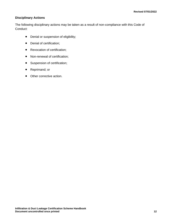#### **Disciplinary Actions**

The following disciplinary actions may be taken as a result of non-compliance with this Code of Conduct:

- Denial or suspension of eligibility;
- Denial of certification;
- Revocation of certification;
- Non-renewal of certification;
- Suspension of certification;
- Reprimand; or
- Other corrective action.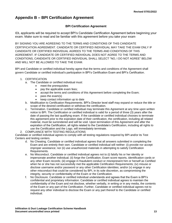## <span id="page-15-0"></span>**Appendix B – BPI Certification Agreement**

#### **BPI Certification Agreement**

IDL applicants will be required to accept BPI's Candidate Certification Agreement before beginning your exam. Make sure to read and be familiar with this agreement before you take your exam

BY SIGNING YOU ARE AGREEING TO THE TERMS AND CONDITIONS OF THIS CANDIDATE CERTIFICATION AGREEMENT. CANDIDATE OR CERTIFIED INDIVIDUAL MAY TAKE THE EXAM ONLY IF CANDIDATE OR CERTIFIED INDIVIDUAL AGREES TO THE TERMS AND CONDITIONS OF THIS AGREEMENT. IF CANDIDATE OR CERTIFIED INDIVIDUAL DOES NOT AGREE TO THE TERMS AND CONDITIONS, CANDIDATE OR CERTIFIED INDIVIDUAL SHALL SELECT "NO, I DO NOT AGREE" BELOW AND WILL NOT BE ALLOWED TO TAKE THE EXAM.

BPI and Candidate or certified individual hereby agree that the terms and conditions of the Agreement shall govern Candidate or certified individual's participation in BPI's Certification Exam and BPI's Certification.

#### 1. CERTIFICATION

- a. The Candidate or certified individual must:
	- meet the prerequisites
	- pay the applicable exam fees;
	- accept the terms and conditions of this Agreement before completing the Exam;
	- pass the exam(s)
	- keep contact information up to date
- b. Modification to Certification Requirements. BPI's Director level staff may expand or reduce the title or scope of the desired certification or withdraw the certification.
- c. Termination. Candidate or certified individual may terminate this Agreement at any time upon written notice to BPI. The Certification or certified individual is valid for a period of three (3) years after the date of passing the last qualifying exam. If the candidate or certified individual chooses to terminate this agreement prior to the expiration date of their certification, the certification, including all related material, must be surrendered and will be void. Upon termination of this Agreement and after the expiration of the Certification, all rights related to the Candidate's Certification, including all rights to use the Certification and the Logo, will immediately terminate.
- 2. COMPLIANCE WITH TESTING REGULATIONS

Candidate or certified individual agrees to comply with all testing regulations required by BPI and/or its Test Centers and testing centers.

- d. No Cheating. Candidate or certified individual agrees that all answers submitted in completing the Exam and are entirely their own. Candidate or certified individual will neither: (i) provide nor accept improper assistance; nor (ii) use unauthorized materials in attempting to satisfy Certification Requirements.
- e. No Misconduct. Candidate or certified individual agrees not to (i) falsify his or her identity or impersonate another individual; (ii) forge the Certification, Exam score reports, identification cards or any other Exam records; (iii) engage in fraudulent conduct or misrepresent him or herself as Certified when he or she has not successfully met the applicable Certification Requirements; (iv) misuse or disclose username and/or password or any other Certification identities; and/or (v) engage in any other misconduct that could be considered by BPI, in its sole discretion, as compromising the integrity, security or confidentiality of the Exam or the Certification.
- f. No Disclosure. Candidate or certified individual understands and agrees that the Exam is BPI's confidential and proprietary information. Candidate or certified individual agrees to maintain the confidentiality of the Exam and not disclose, whether verbally, in writing or in any media, the contents of the Exam or any part of the Certification. Further, Candidate or certified individual agrees not to request any other individual to disclose the Exam or any part thereof to the Candidate or certified individual.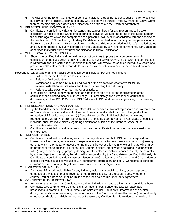- g. No Misuse of the Exam. Candidate or certified individual agrees not to copy, publish, offer to sell, sell, publicly perform or display, distribute in any way or otherwise transfer, modify, make derivative works thereof, reverse engineer, decompile, disassemble or translate the Exam or part thereof.
- 3. BPI ACTION FOR NON-COMPLIANCE
	- h. Candidate or certified individual understands and agrees that, if for any reason and at its sole discretion, BPI believes the Candidate or certified individual violated the terms of this agreement or the criteria against which the competence of a person is evaluated in accordance with the scheme of the certification. BPI has the right to deny Candidate or certified individual any further participation in the Exam, cancel a passed Exam result, remove the Candidate or certified individual's certified status and any other rights previously conferred on the Candidate by BPI, and to permanently bar Candidate or certified individual from any further participation in BPI's Certification.
- 4. WITHDRAWAL OF CERTIFICATION
	- i. Should the certified individual not maintain or not continue to prove their competence for this certification to the satisfaction of BPI, the certification will be withdrawn. In the event the certification is withdrawn, the BPI certification operations manager will review the certified individual's record and provide a written statement in regards to steps that will be taken in order for the certification to be reinstated.

Reasons for withdrawal of an individual's certification by BPI include, but are not limited to:

- Failure of the multiple choice test instrument.
- Failure of field evaluation.
- Verification of a complaint by building owner or the owner's representative for failure to meet installation requirements and then not correcting the deficiency.
- Failure to take steps to correct improper practices.
- j. If the certified individual may not be able or is no longer able to fulfill the requirements of the certification the certified individual must notify BPI immediately and surrender all certification documents, such as BPI ID Card and BPI Certificate to BPI, and cease using any logo or marketing materials.
- 5. REPRESENTATIONS AND WARRANTIES
	- k. By the Candidate or certified individual. Candidate or certified individual represents and warrants that: (i) Candidate or certified individual will refrain from any conduct that may harm the goodwill and reputation of BPI or its products and (ii) Candidate or certified individual shall not make any representation, warranty or promise on behalf of or binding upon BPI and (iii) Candidate or certified individual shall not make claims regarding certification outside of the intended scope of the appropriate certification.
	- l. Candidate or certified individual agrees to not use the certificate in a manner that is misleading or unwarranted.
- 6. INDEMNIFICATION
	- m. Candidate or certified individual agrees to indemnify, defend and hold BPI harmless against any losses, liabilities, damages, claims and expenses (including attorneys' fees and court costs) arising out of any claims or suits, whatever their nature and however arising, in whole or in part, which may be brought or made against BPI, or its Test Centers, officers, employees or assigns, in connection with: (i) any personal injury, property damage or other claims which are caused, directly or indirectly by any negligent act, omission, illegal or willful misconduct by the Candidate or certified individual, (ii) Candidate or certified individual's use or misuse of the Certification and/or the Logo; (iv) Candidate or certified individual's use or misuse of BPI' confidential information; and/or (v) Candidate or certified individual's breach of any obligations or warranties under this Agreement.
- 7. LIMITATION OF LIABILITY
	- n. Damages. BPI shall not be liable for any indirect, incidental, special, punitive, or consequential damages or any loss of profits, revenue, or data. BPI's liability for direct damages, whether in contract, tort or otherwise, shall be limited to the fees paid to BPI under this Agreement.
- 8. CONFIDENTIALITY UNDERTAKING
	- o. By signing this Agreement, Candidate or certified individual agrees to all terms and conditions herein
	- p. Candidate agrees (i) to hold Confidential Information in confidence and take all reasonable precautions to protect it, (ii) not to, directly or indirectly, use Confidential Information at any time during the certification procedure, the performance of the Exam and thereafter, and (iii) not to, directly or indirectly, disclose, publish, reproduce or transmit any Confidential Information completely or in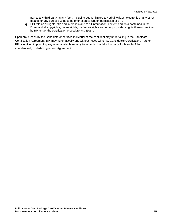part to any third party, in any form, including but not limited to verbal, written, electronic or any other means for any purpose without the prior express written permission of BPI.

q. BPI retains all rights, title and interest in and to all information, content and data contained in the Exam and all copyrights, patent rights, trademark rights and other proprietary rights thereto provided by BPI under the certification procedure and Exam.

Upon any breach by the Candidate or certified individual of the confidentiality undertaking in the Candidate Certification Agreement, BPI may automatically and without notice withdraw Candidate's Certification. Further, BPI is entitled to pursuing any other available remedy for unauthorized disclosure or for breach of the confidentiality undertaking in said Agreement.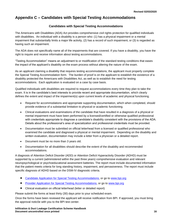# <span id="page-18-0"></span>**Appendix C – Candidates with Special Testing Accommodations**

#### **Candidates with Special Testing Accommodations**

The Americans with Disabilities (ADA) Act provides comprehensive civil rights protection for qualified individuals with disabilities. An individual with a disability is a person who: (1) has a physical impairment or a mental impairment that substantially limits a major life activity, (2) has a record of such impairment, or (3) is regarded as having such an impairment.

The ADA does not specifically name all of the impairments that are covered. If you have a disability, you have the right to inquire and receive information about testing accommodations.

"Testing Accommodation" means an adjustment to or modification of the standard testing conditions that eases the impact of the applicant's disability on the exam process without altering the nature of the exam.

As an applicant claiming a disability that requires testing accommodations, the applicant must properly complete the Special Testing Accommodation form. The burden of proof is on the applicant to establish the existence of a disability protected the Americans with Disabilities Act, as well as to establish the need for testing accommodations. Each application is evaluated on a case by case basis.

Qualified individuals with disabilities are required to request accommodations every time they plan to take the exam. It is in the candidate's best interests to provide recent and appropriate documentation, which clearly defines the extent and impact of the impairment(s) upon current levels of academic and physical functioning.

- Request for accommodations and appropriate supporting documentation, which when completed, should provide evidence of a substantial limitation to physical or academic functioning.
- Clinical evaluations and examinations of the candidate that have resulted in a diagnosis of a physical or mental impairment must have been performed by a licensed/certified or otherwise qualified professional with credentials appropriate to diagnose a candidate's disability consistent with the provisions of the ADA. Details about the professional's area of specialization and professional credentials must be provided.
- Documentation must be submitted on official letterhead from a licensed or qualified professional who examined the candidate and diagnosed a physical or mental impairment. Depending on the disability and written evaluation, documentation may include a letter from a physician or a detailed report.
- Document must be no more than 3 years old.
- Documentation for all disabilities should describe the extent of the disability and recommended accommodations.

A diagnosis of Attention Deficit Disorder (ADD) or Attention Deficit Hyperactivity Disorder (ADHD) must be supported by a current (administered within the past three years) comprehensive evaluation and relevant neuropsychological or psychoeducational assessment batteries. The report must include documented information that the patient meets criteria for long standing history, impairment, and pervasiveness. The report must include specific diagnosis of ADHD based on the DSM-IV diagnostic criteria.

- [Candidate Application for Special Testing Accommodations,](http://www.bpi.org/certified-professionals/testing-accommodations) or go to [www.bpi.org](http://www.bpi.org/)
- [Provider Application for Special Testing Accommodations,](http://www.bpi.org/certified-professionals/testing-accommodations) or go to [www.bpi.org](http://www.bpi.org/)
- Clinical evaluation on official letterhead (letter or detailed report)

Please submit the forms at least thirty (30) days prior to your scheduled exam.

Once the forms have been reviewed the applicant will receive notification from BPI. If approved, you must bring the approval notic0e with you to the BPI test center.

**Infiltration & Duct Leakage Certification Scheme Handbook Document uncontrolled once printed 16**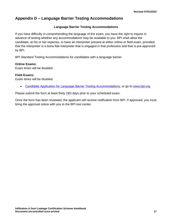## <span id="page-19-0"></span>**Appendix D – Language Barrier Testing Accommodations**

#### **Language Barrier Testing Accommodations**

If you have difficulty in comprehending the language of the exam, you have the right to inquire in advance of testing whether any accommodations may be available to you. BPI shall allow the candidate, at his or her expense, to have an interpreter present at either online or field exam, provided that the interpreter is a bona fide interpreter that is engaged in that profession and that is pre-approved by BPI.

BPI Standard Testing Accommodations for candidates with a language barrier.

#### **Online Exams:**

Exam times will be doubled.

#### **Field Exams:**

Exam times will be doubled.

• [Candidate Application for Language Barrier Testing Accommodations,](http://www.bpi.org/certified-professionals/testing-accommodations) or go to [www.bpi.org](http://www.bpi.org/)

Please submit the form at least thirty (30) days prior to your scheduled exam.

Once the form has been reviewed, the applicant will receive notification from BPI. If approved, you must bring the approval notice with you to the BPI test center.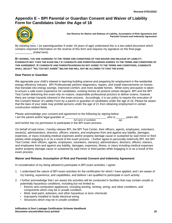# <span id="page-20-0"></span>**Appendix E – BPI Parental or Guardian Consent and Waiver of Liability Form for Candidates Under the Age of 18**



**See Reverse for Waiver and Release of Liability, Assumption of Risk Agreement and Parental Consent and Indemnity Agreement**

By initialing here, I (or parent/guardian if under 18 years of age) understand this is a two-sided document which contains important information on the reverse of this form and requires my signature on the final page \_\_\_\_\_\_\_\_\_\_\_ (Initial here).

**BY SIGNING, YOU ARE AGREEING TO THE TERMS AND CONDITIONS OF THIS WAIVER AND RELEASE OF LIABILITY. CANDIDATE MAY TAKE THE EXAM ONLY IF CANDIDATE AND PARENT/GUARDIAN AGREES TO THE TERMS AND CONDITIONS OF THIS AGREEMENT. IF CANDIDATE AND PARENT/GUARDIAN DO NOT AGREE TO THE TERMS AND CONDITIONS, CANDIDATE SHALL SELECT "NO, I DO NOT AGREE" BELOW AND WILL NOT BE ALLOWED TO TAKE THE EXAM.**

#### **Dear Parent or Guardian**:

exam process.

We appreciate your child's interest in learning building science and preparing for employment in the residential energy efficiency industry. BPI Professionals perform diagnostics, repairs, and install improvements on homes that translate into energy savings, improved comfort, and more durable homes. While every precaution is taken to ensure a safe exam experience for candidates, existing homes do present certain dangers. BPI and the BPI Test Center delivering this exam rely on mature, responsible professional proctors to deliver exams, however there are certain hazards inherent in the exam process. Accordingly, it is our policy to require the execution of this Consent Waiver of Liability Form by a parent or guardian of candidates under the age of 18. Please be aware that the laws of your state may prohibit persons under the age of 21 from obtaining employment in certain construction related fields.

Please acknowledge your consent and agreement to the following by signing below: I am the parent and/or legal guardian of  $\Box$  who is  $\Box$  years old,  *full name of candidate age*

and/or property damage cause or sustained by said minor or third parties while engaging in or as a result of the

and he/she has my permission to participate in the BPI exam process.

On behalf of said minor, I hereby release BPI, the BPI Test Center, their officers, agents, employees, volunteers, owner(s), administrators, directors, officers, trainers, and employees from and against any liability, damages, expenses, or injury including medical expenses and/or property damage cause or sustained by said minor or third parties while engaging in or as a result of the exam process. I further agree to personally indemnify BPI, the BPI Test Center, their officers, agents, employees, volunteers, owner(s), administrators, directors, officers, trainers, and employees from and against any liability, damages, expenses, illness, or injury including medical expenses

#### **Waiver and Release, Assumption of Risk and Parental Consent and Indemnity Agreement**

*In consideration of my being allowed to participate in BPI exam activities, I agree:*

- 1. I understand the nature of BPI exam activities for the certification for which I have applied, and I am aware of my training, experience, and capabilities, and believe I am qualified to participate in such activity.
- 2. I further acknowledge that I am aware the activities will be conducted in facilities that may contain unsafe or potentially hazardous conditions, including but not limited to:
	- Electric and combustion appliances, including ducting, venting, wiring, and other conditions, and components which may be in unsafe condition
	- Mold, lead paint, asbestos, and other hazardous or toxic chemicals
	- Improperly installed or faulty electrical wiring
	- Structures which may be in unsafe condition

**Infiltration & Duct Leakage Certification Scheme Handbook Document uncontrolled once printed 18**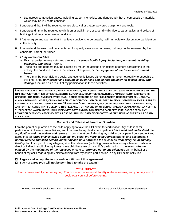- Dangerous combustion gases, including carbon monoxide, and dangerously hot or combustible materials, which may be in unsafe condition
- 3. I understand that I will be required to use electrical or battery-powered equipment and tools.
- 4. I understand I may be required to climb on or walk in, on, or around walls, floors, yards, attics, and cellars of buildings that may be in unsafe condition.
- 5. I further agree and warrant that if I believe conditions to be unsafe, I will immediately discontinue participation in the activity.
- 6. I understand the exam will be videotaped for quality assurance purposes, but may not be reviewed by the candidate, parent, or trainer.
- 7. *I fully understand* that:
	- a. Exam activities involve risks and dangers of *serious bodily injury, including permanent disability, paralysis, and death* ("Risk").
	- b. These risk and dangers may be caused by me or the actions or inactions of others participating in the activity, the condition in which the activity takes place, or the *negligence of the "releasees" named below*.
	- c. There may be other risk and social and economic losses either known to me or not readily foreseeable at this time; and *I fully accept and assume all such risks and all responsibility for losses, cost, and damages* incurred as a result of my participation in these activities.

**I HEREBY RELEASE , DISCHARGE, COVENANT NOT TO SUE, AND AGREE TO INDEMNIFY AND SAVE HOLD HARMLESS BPI, THE**  BPI TEST CENTER, THEIR OFFICERS, AGENTS, EMPLOYEES, VOLUNTEERS, OWNER(S), ADMINISTRATORS, DIRECTORS, **OFFICERS, TRAINERS, AND EMPLOYEES (EACH CONSIDERED ONE OF THE "RELEASEES" HEREIN) FROM ALL LIABILITY, CLAIMS, DEMANDS, LOSSES, OR DAMAGES ON MY ACCOUNT CAUSED OR ALLEGED TO BE CAUSED IN WHOLE OR IN PART BY CANDIDATE, BY THE NEGLIGENCE OF THE "RELEASEES" OR OTHERWISE, INCLUDING NEGLIGENT RESCUE OPERATIONS, AND FURTHER AGREE THAT IF, DESPITE THIS RELEASE, I, OR ANYONE ON MY BEHALF MAKES A CLAIM AGAINST ANY OF THE "RELEASEES" NAMED ABOVE, I WILL INDEMNIFY, SAVE AND HOLD HARMLESS EACH OF THE RELEASEES FROM ANY LITIGATION EXPENSES, ATTORNEY FEES, LOSS OF LIABILITY, DAMAGE OR COST THAT MAY INCUR AS THE RESULT OF ANY SUCH CLAIM.**

#### **Consent and Release of Parent or Guardian**

I am the parent or guardian of the child applying to take the BPI exam for certification. My child is fit for participation in these exam activities, and I consent to my child's participation. *I have read and understand the application and this waiver and release*. In consideration of allowing my child to participate, I consent to it and agree that *its terms shall likewise bind me, my child, my heirs, legal representative, and assignees. I hereby release and shall defend, indemnify and hold harmless the releasees from every claim and any liability* that I or my child may allege against the releasees (including reasonable attorney's fees or cost) as a direct or indirect result of injury to me or my child because of my child's participation in the event, *whether caused by the negligence of the releasees* or others. **I** *promise not to sue releasees* on my behalf or on behalf of my child regarding any claims arising from my child's participation in any BPI exam activities.

 **I agree and accept the terms and conditions of this agreement**

 **I** *do not* **agree (you will not be permitted to take the exams)**

**\*\*\*CAUTION\*\*\***

Read above carefully before signing. This document releases all liability of the releasees, and you may wish to seek legal counsel before signing.

Printed Name of Candidate for BPI Certification Signature of Participant or Parent/Guardian

Date **Date Date Date Date Date Date Date Date Date**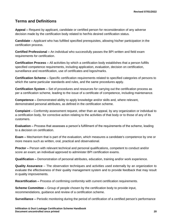#### <span id="page-22-0"></span>**Terms and Definitions**

**Appeal –** Request by applicant, candidate or certified person for reconsideration of any adverse decision made by the certification body related to her/his desired certification status.

**Candidate –** Applicant who has fulfilled specified prerequisites, allowing his/her participation in the certification process.

**Certified Professional –** An individual who successfully passes the BPI written and field exam requirements for certification.

**Certification Process –** All activities by which a certification body establishes that a person fulfills specified competence requirements, including application, evaluation, decision on certification, surveillance and recertification, use of certificates and logos/marks.

**Certification Scheme –** Specific certification requirements related to specified categories of persons to which the same particular standards and rules, and the same procedures apply.

**Certification System –** Set of procedures and resources for carrying out the certification process as per a certification scheme, leading to the issue of a certificate of competence, including maintenance.

**Competence –** Demonstrated ability to apply knowledge and/or skills and, where relevant, demonstrated personal attributes, as defined in the certification scheme.

**Complaint –** Conformity assessment request, other than an appeal, by any organization or individual to a certification body, for corrective action relating to the activities of that body or to those of any of its customers.

**Evaluation –** Process that assesses a person's fulfillment of the requirements of the scheme, leading to a decision on certification.

**Exam –** Mechanism that is part of the evaluation, which measures a candidate's competence by one or more means such as written, oral, practical and observational.

**Proctor –** Person with relevant technical and personal qualifications, competent to conduct and/or score an exam; an individual approved to administer BPI certification exams.

**Qualification –** Demonstration of personal attributes, education, training and/or work experience.

**Quality Assurance** – The observation techniques and activities used externally by an organization to evaluate the effectiveness of their quality management system and to provide feedback that may result in quality improvements.

**Recertification –** Process of confirming conformity with current certification requirements.

**Scheme Committee –** Group of people chosen by the certification body to provide input, recommendations, guidance and review of a certification scheme.

**Surveillance –** Periodic monitoring during the period of certification of a certified person's performance